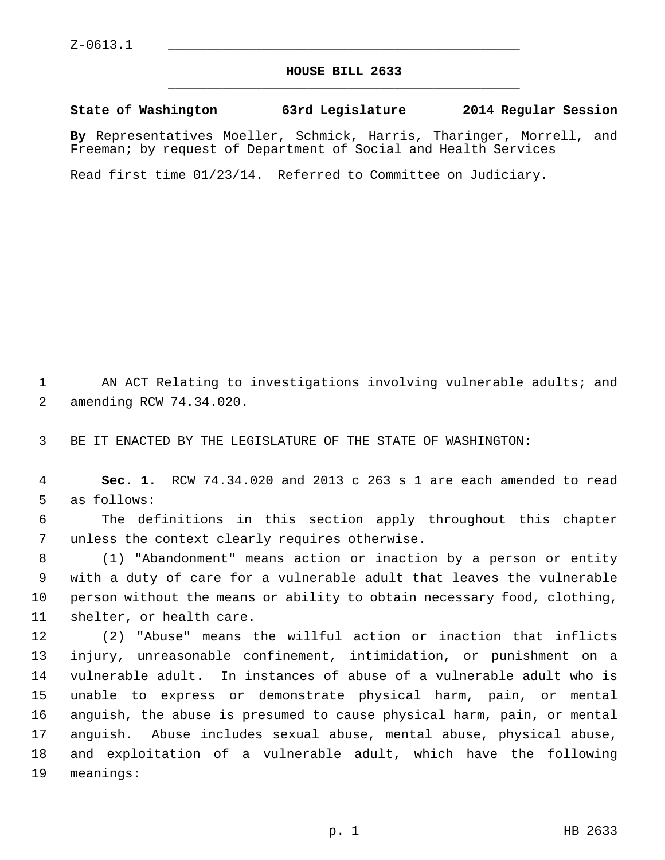## **HOUSE BILL 2633** \_\_\_\_\_\_\_\_\_\_\_\_\_\_\_\_\_\_\_\_\_\_\_\_\_\_\_\_\_\_\_\_\_\_\_\_\_\_\_\_\_\_\_\_\_

## **State of Washington 63rd Legislature 2014 Regular Session**

**By** Representatives Moeller, Schmick, Harris, Tharinger, Morrell, and Freeman; by request of Department of Social and Health Services

Read first time 01/23/14. Referred to Committee on Judiciary.

1 AN ACT Relating to investigations involving vulnerable adults; and 2 amending RCW 74.34.020.

3 BE IT ENACTED BY THE LEGISLATURE OF THE STATE OF WASHINGTON:

 4 **Sec. 1.** RCW 74.34.020 and 2013 c 263 s 1 are each amended to read 5 as follows:

 6 The definitions in this section apply throughout this chapter 7 unless the context clearly requires otherwise.

 8 (1) "Abandonment" means action or inaction by a person or entity 9 with a duty of care for a vulnerable adult that leaves the vulnerable 10 person without the means or ability to obtain necessary food, clothing, 11 shelter, or health care.

12 (2) "Abuse" means the willful action or inaction that inflicts 13 injury, unreasonable confinement, intimidation, or punishment on a 14 vulnerable adult. In instances of abuse of a vulnerable adult who is 15 unable to express or demonstrate physical harm, pain, or mental 16 anguish, the abuse is presumed to cause physical harm, pain, or mental 17 anguish. Abuse includes sexual abuse, mental abuse, physical abuse, 18 and exploitation of a vulnerable adult, which have the following 19 meanings: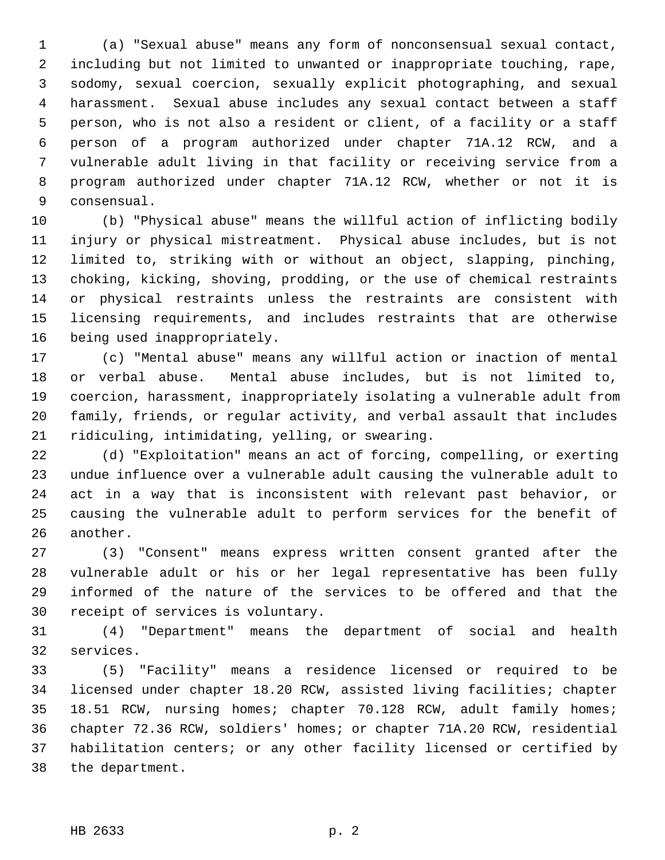1 (a) "Sexual abuse" means any form of nonconsensual sexual contact, 2 including but not limited to unwanted or inappropriate touching, rape, 3 sodomy, sexual coercion, sexually explicit photographing, and sexual 4 harassment. Sexual abuse includes any sexual contact between a staff 5 person, who is not also a resident or client, of a facility or a staff 6 person of a program authorized under chapter 71A.12 RCW, and a 7 vulnerable adult living in that facility or receiving service from a 8 program authorized under chapter 71A.12 RCW, whether or not it is 9 consensual.

10 (b) "Physical abuse" means the willful action of inflicting bodily 11 injury or physical mistreatment. Physical abuse includes, but is not 12 limited to, striking with or without an object, slapping, pinching, 13 choking, kicking, shoving, prodding, or the use of chemical restraints 14 or physical restraints unless the restraints are consistent with 15 licensing requirements, and includes restraints that are otherwise 16 being used inappropriately.

17 (c) "Mental abuse" means any willful action or inaction of mental 18 or verbal abuse. Mental abuse includes, but is not limited to, 19 coercion, harassment, inappropriately isolating a vulnerable adult from 20 family, friends, or regular activity, and verbal assault that includes 21 ridiculing, intimidating, yelling, or swearing.

22 (d) "Exploitation" means an act of forcing, compelling, or exerting 23 undue influence over a vulnerable adult causing the vulnerable adult to 24 act in a way that is inconsistent with relevant past behavior, or 25 causing the vulnerable adult to perform services for the benefit of 26 another.

27 (3) "Consent" means express written consent granted after the 28 vulnerable adult or his or her legal representative has been fully 29 informed of the nature of the services to be offered and that the 30 receipt of services is voluntary.

31 (4) "Department" means the department of social and health 32 services.

33 (5) "Facility" means a residence licensed or required to be 34 licensed under chapter 18.20 RCW, assisted living facilities; chapter 35 18.51 RCW, nursing homes; chapter 70.128 RCW, adult family homes; 36 chapter 72.36 RCW, soldiers' homes; or chapter 71A.20 RCW, residential 37 habilitation centers; or any other facility licensed or certified by 38 the department.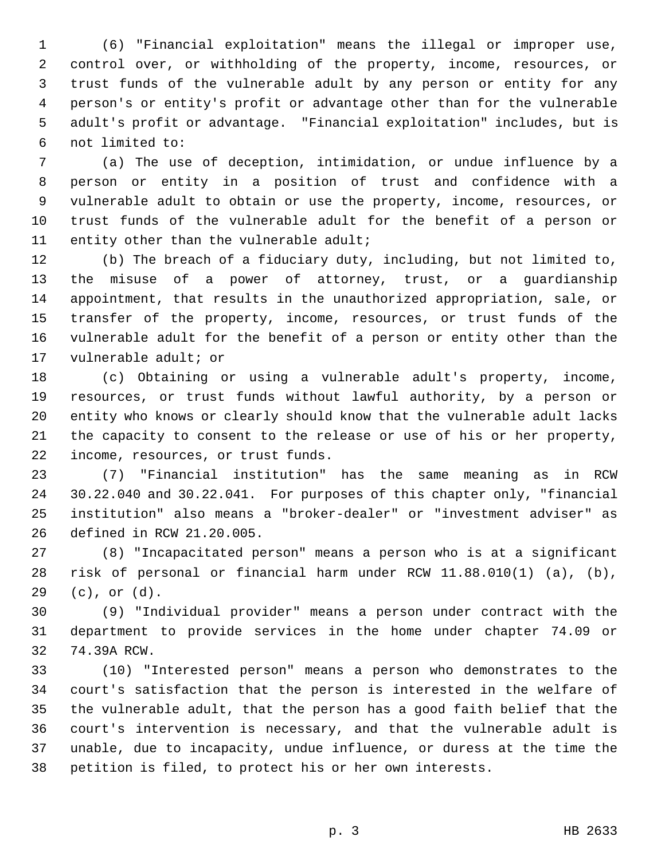1 (6) "Financial exploitation" means the illegal or improper use, 2 control over, or withholding of the property, income, resources, or 3 trust funds of the vulnerable adult by any person or entity for any 4 person's or entity's profit or advantage other than for the vulnerable 5 adult's profit or advantage. "Financial exploitation" includes, but is 6 not limited to:

 7 (a) The use of deception, intimidation, or undue influence by a 8 person or entity in a position of trust and confidence with a 9 vulnerable adult to obtain or use the property, income, resources, or 10 trust funds of the vulnerable adult for the benefit of a person or 11 entity other than the vulnerable adult;

12 (b) The breach of a fiduciary duty, including, but not limited to, 13 the misuse of a power of attorney, trust, or a guardianship 14 appointment, that results in the unauthorized appropriation, sale, or 15 transfer of the property, income, resources, or trust funds of the 16 vulnerable adult for the benefit of a person or entity other than the 17 vulnerable adult; or

18 (c) Obtaining or using a vulnerable adult's property, income, 19 resources, or trust funds without lawful authority, by a person or 20 entity who knows or clearly should know that the vulnerable adult lacks 21 the capacity to consent to the release or use of his or her property, 22 income, resources, or trust funds.

23 (7) "Financial institution" has the same meaning as in RCW 24 30.22.040 and 30.22.041. For purposes of this chapter only, "financial 25 institution" also means a "broker-dealer" or "investment adviser" as 26 defined in RCW 21.20.005.

27 (8) "Incapacitated person" means a person who is at a significant 28 risk of personal or financial harm under RCW 11.88.010(1) (a), (b), 29 (c), or (d).

30 (9) "Individual provider" means a person under contract with the 31 department to provide services in the home under chapter 74.09 or 32 74.39A RCW.

33 (10) "Interested person" means a person who demonstrates to the 34 court's satisfaction that the person is interested in the welfare of 35 the vulnerable adult, that the person has a good faith belief that the 36 court's intervention is necessary, and that the vulnerable adult is 37 unable, due to incapacity, undue influence, or duress at the time the 38 petition is filed, to protect his or her own interests.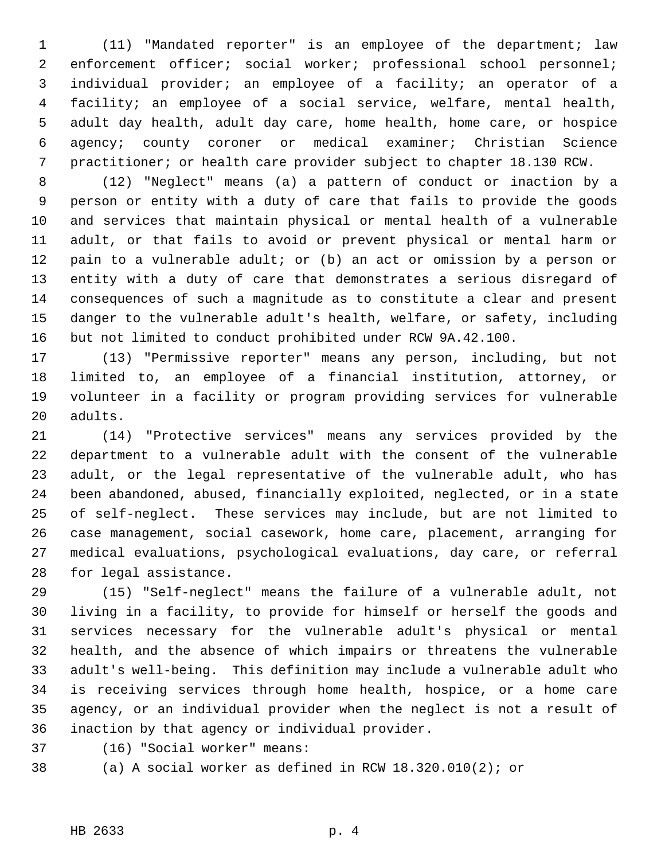1 (11) "Mandated reporter" is an employee of the department; law 2 enforcement officer; social worker; professional school personnel; 3 individual provider; an employee of a facility; an operator of a 4 facility; an employee of a social service, welfare, mental health, 5 adult day health, adult day care, home health, home care, or hospice 6 agency; county coroner or medical examiner; Christian Science 7 practitioner; or health care provider subject to chapter 18.130 RCW.

 8 (12) "Neglect" means (a) a pattern of conduct or inaction by a 9 person or entity with a duty of care that fails to provide the goods 10 and services that maintain physical or mental health of a vulnerable 11 adult, or that fails to avoid or prevent physical or mental harm or 12 pain to a vulnerable adult; or (b) an act or omission by a person or 13 entity with a duty of care that demonstrates a serious disregard of 14 consequences of such a magnitude as to constitute a clear and present 15 danger to the vulnerable adult's health, welfare, or safety, including 16 but not limited to conduct prohibited under RCW 9A.42.100.

17 (13) "Permissive reporter" means any person, including, but not 18 limited to, an employee of a financial institution, attorney, or 19 volunteer in a facility or program providing services for vulnerable 20 adults.

21 (14) "Protective services" means any services provided by the 22 department to a vulnerable adult with the consent of the vulnerable 23 adult, or the legal representative of the vulnerable adult, who has 24 been abandoned, abused, financially exploited, neglected, or in a state 25 of self-neglect. These services may include, but are not limited to 26 case management, social casework, home care, placement, arranging for 27 medical evaluations, psychological evaluations, day care, or referral 28 for legal assistance.

29 (15) "Self-neglect" means the failure of a vulnerable adult, not 30 living in a facility, to provide for himself or herself the goods and 31 services necessary for the vulnerable adult's physical or mental 32 health, and the absence of which impairs or threatens the vulnerable 33 adult's well-being. This definition may include a vulnerable adult who 34 is receiving services through home health, hospice, or a home care 35 agency, or an individual provider when the neglect is not a result of 36 inaction by that agency or individual provider.

37 (16) "Social worker" means:

38 (a) A social worker as defined in RCW 18.320.010(2); or